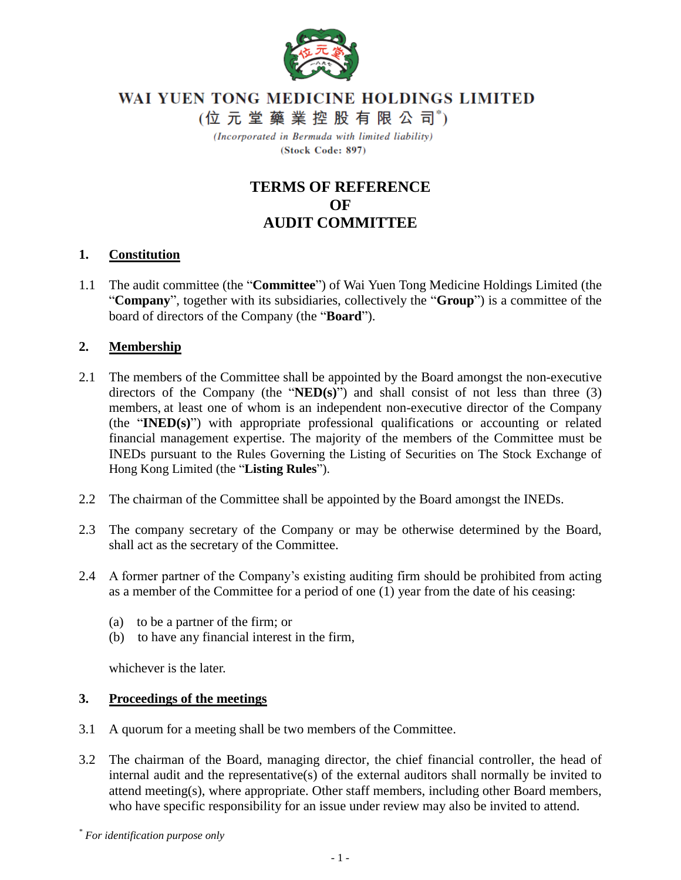

# WAI YUEN TONG MEDICINE HOLDINGS LIMITED

(位元堂藥業控股有限公司\*)

(Incorporated in Bermuda with limited liability) (Stock Code: 897)

## **TERMS OF REFERENCE OF AUDIT COMMITTEE**

#### **1. Constitution**

1.1 The audit committee (the "**Committee**") of Wai Yuen Tong Medicine Holdings Limited (the "**Company**", together with its subsidiaries, collectively the "**Group**") is a committee of the board of directors of the Company (the "**Board**").

#### **2. Membership**

- 2.1 The members of the Committee shall be appointed by the Board amongst the non-executive directors of the Company (the "**NED(s)**") and shall consist of not less than three (3) members, at least one of whom is an independent non-executive director of the Company (the "**INED(s)**") with appropriate professional qualifications or accounting or related financial management expertise. The majority of the members of the Committee must be INEDs pursuant to the Rules Governing the Listing of Securities on The Stock Exchange of Hong Kong Limited (the "**Listing Rules**").
- 2.2 The chairman of the Committee shall be appointed by the Board amongst the INEDs.
- 2.3 The company secretary of the Company or may be otherwise determined by the Board, shall act as the secretary of the Committee.
- 2.4 A former partner of the Company's existing auditing firm should be prohibited from acting as a member of the Committee for a period of one (1) year from the date of his ceasing:
	- (a) to be a partner of the firm; or
	- (b) to have any financial interest in the firm,

whichever is the later.

#### **3. Proceedings of the meetings**

- 3.1 A quorum for a meeting shall be two members of the Committee.
- 3.2 The chairman of the Board, managing director, the chief financial controller, the head of internal audit and the representative(s) of the external auditors shall normally be invited to attend meeting(s), where appropriate. Other staff members, including other Board members, who have specific responsibility for an issue under review may also be invited to attend.

*\* For identification purpose only*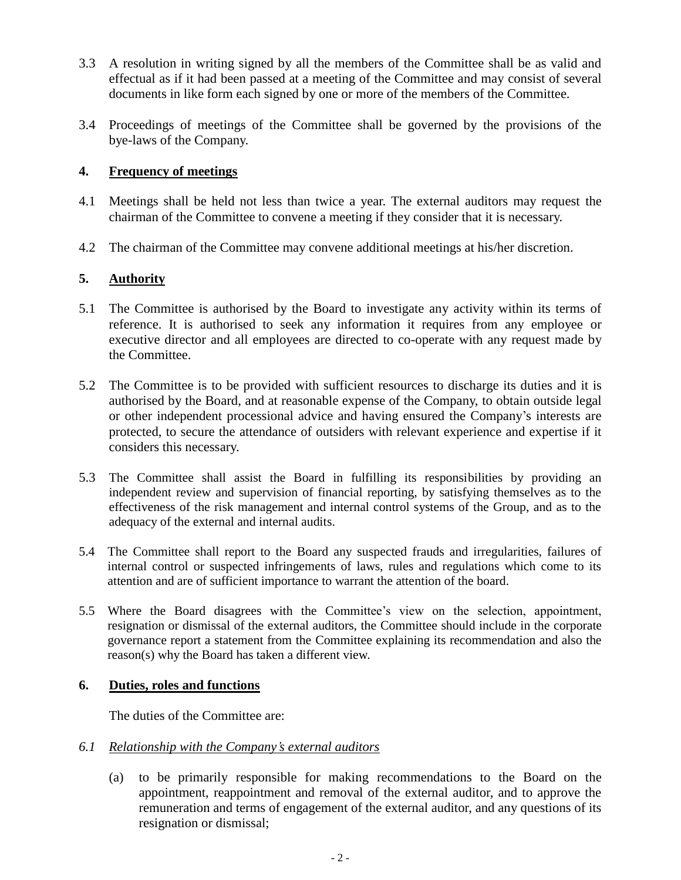- 3.3 A resolution in writing signed by all the members of the Committee shall be as valid and effectual as if it had been passed at a meeting of the Committee and may consist of several documents in like form each signed by one or more of the members of the Committee.
- 3.4 Proceedings of meetings of the Committee shall be governed by the provisions of the bye-laws of the Company.

## **4. Frequency of meetings**

- 4.1 Meetings shall be held not less than twice a year. The external auditors may request the chairman of the Committee to convene a meeting if they consider that it is necessary.
- 4.2 The chairman of the Committee may convene additional meetings at his/her discretion.

## **5. Authority**

- 5.1 The Committee is authorised by the Board to investigate any activity within its terms of reference. It is authorised to seek any information it requires from any employee or executive director and all employees are directed to co-operate with any request made by the Committee.
- 5.2 The Committee is to be provided with sufficient resources to discharge its duties and it is authorised by the Board, and at reasonable expense of the Company, to obtain outside legal or other independent processional advice and having ensured the Company's interests are protected, to secure the attendance of outsiders with relevant experience and expertise if it considers this necessary.
- 5.3 The Committee shall assist the Board in fulfilling its responsibilities by providing an independent review and supervision of financial reporting, by satisfying themselves as to the effectiveness of the risk management and internal control systems of the Group, and as to the adequacy of the external and internal audits.
- 5.4 The Committee shall report to the Board any suspected frauds and irregularities, failures of internal control or suspected infringements of laws, rules and regulations which come to its attention and are of sufficient importance to warrant the attention of the board.
- 5.5 Where the Board disagrees with the Committee's view on the selection, appointment, resignation or dismissal of the external auditors, the Committee should include in the corporate governance report a statement from the Committee explaining its recommendation and also the reason(s) why the Board has taken a different view.

## **6. Duties, roles and functions**

The duties of the Committee are:

## *6.1 Relationship with the Company's external auditors*

(a) to be primarily responsible for making recommendations to the Board on the appointment, reappointment and removal of the external auditor, and to approve the remuneration and terms of engagement of the external auditor, and any questions of its resignation or dismissal;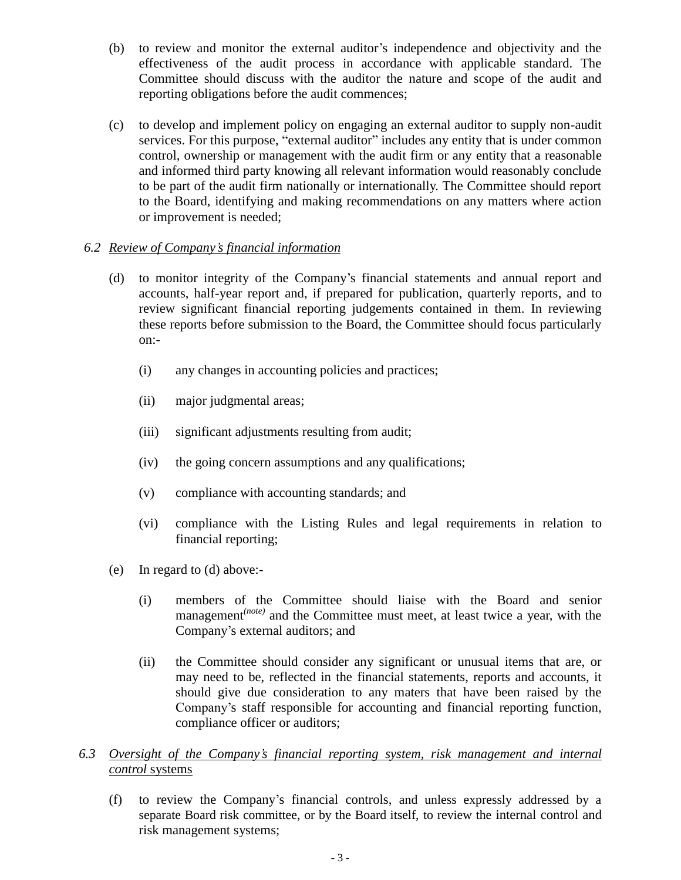- (b) to review and monitor the external auditor's independence and objectivity and the effectiveness of the audit process in accordance with applicable standard. The Committee should discuss with the auditor the nature and scope of the audit and reporting obligations before the audit commences;
- (c) to develop and implement policy on engaging an external auditor to supply non-audit services. For this purpose, "external auditor" includes any entity that is under common control, ownership or management with the audit firm or any entity that a reasonable and informed third party knowing all relevant information would reasonably conclude to be part of the audit firm nationally or internationally. The Committee should report to the Board, identifying and making recommendations on any matters where action or improvement is needed;

## *6.2 Review of Company's financial information*

- (d) to monitor integrity of the Company's financial statements and annual report and accounts, half-year report and, if prepared for publication, quarterly reports, and to review significant financial reporting judgements contained in them. In reviewing these reports before submission to the Board, the Committee should focus particularly on:-
	- (i) any changes in accounting policies and practices;
	- (ii) major judgmental areas;
	- (iii) significant adjustments resulting from audit;
	- (iv) the going concern assumptions and any qualifications;
	- (v) compliance with accounting standards; and
	- (vi) compliance with the Listing Rules and legal requirements in relation to financial reporting;
- (e) In regard to (d) above:-
	- (i) members of the Committee should liaise with the Board and senior management*(note)* and the Committee must meet, at least twice a year, with the Company's external auditors; and
	- (ii) the Committee should consider any significant or unusual items that are, or may need to be, reflected in the financial statements, reports and accounts, it should give due consideration to any maters that have been raised by the Company's staff responsible for accounting and financial reporting function, compliance officer or auditors;

#### *6.3 Oversight of the Company's financial reporting system, risk management and internal control* systems

(f) to review the Company's financial controls, and unless expressly addressed by a separate Board risk committee, or by the Board itself, to review the internal control and risk management systems;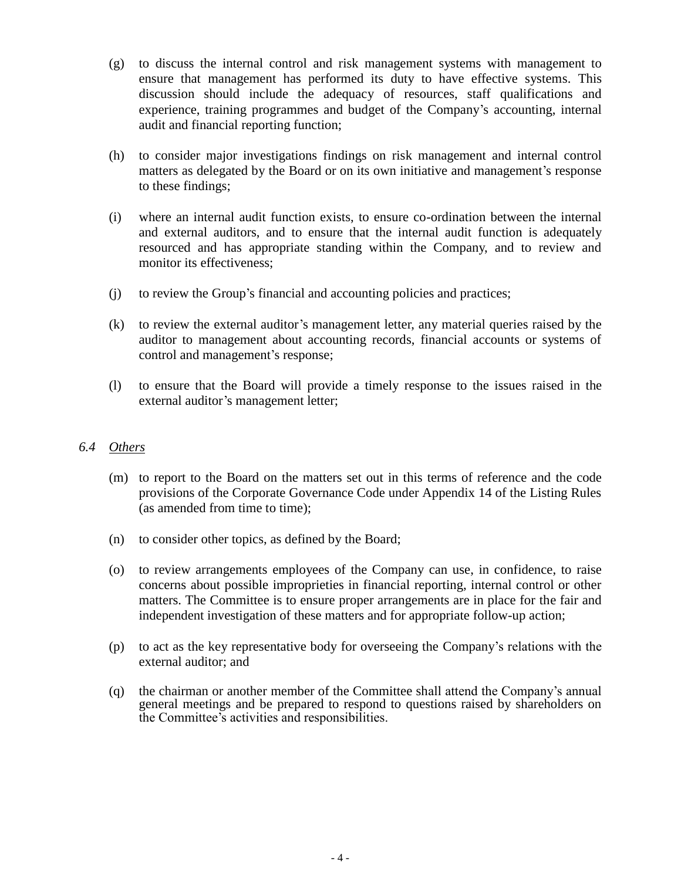- (g) to discuss the internal control and risk management systems with management to ensure that management has performed its duty to have effective systems. This discussion should include the adequacy of resources, staff qualifications and experience, training programmes and budget of the Company's accounting, internal audit and financial reporting function;
- (h) to consider major investigations findings on risk management and internal control matters as delegated by the Board or on its own initiative and management's response to these findings;
- (i) where an internal audit function exists, to ensure co-ordination between the internal and external auditors, and to ensure that the internal audit function is adequately resourced and has appropriate standing within the Company, and to review and monitor its effectiveness;
- (j) to review the Group's financial and accounting policies and practices;
- (k) to review the external auditor's management letter, any material queries raised by the auditor to management about accounting records, financial accounts or systems of control and management's response;
- (l) to ensure that the Board will provide a timely response to the issues raised in the external auditor's management letter;

#### *6.4 Others*

- (m) to report to the Board on the matters set out in this terms of reference and the code provisions of the Corporate Governance Code under Appendix 14 of the Listing Rules (as amended from time to time);
- (n) to consider other topics, as defined by the Board;
- (o) to review arrangements employees of the Company can use, in confidence, to raise concerns about possible improprieties in financial reporting, internal control or other matters. The Committee is to ensure proper arrangements are in place for the fair and independent investigation of these matters and for appropriate follow-up action;
- (p) to act as the key representative body for overseeing the Company's relations with the external auditor; and
- (q) the chairman or another member of the Committee shall attend the Company's annual general meetings and be prepared to respond to questions raised by shareholders on the Committee's activities and responsibilities.